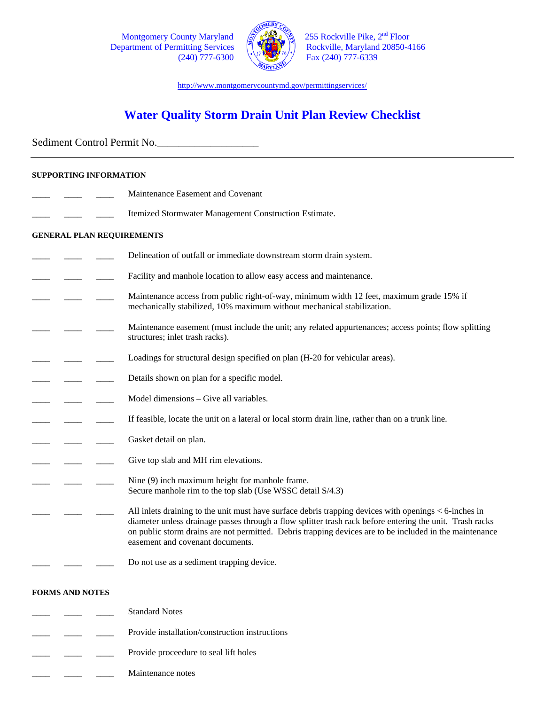Department of Permitting Services



Montgomery County Maryland  $\left(\frac{25}{100}\right)^{14}$  255 Rockville Pike,  $2^{nd}$  Floor partment of Permitting Services  $(240)$  777-6300  $\sqrt{\frac{1000}{2}}$  Fax (240) 777-6339

http://www.montgomerycountymd.gov/permittingservices/

# **Water Quality Storm Drain Unit Plan Review Checklist**

Sediment Control Permit No.

### **SUPPORTING INFORMATION**

- Maintenance Easement and Covenant
- Itemized Stormwater Management Construction Estimate.

#### **GENERAL PLAN REQUIREMENTS**

- Delineation of outfall or immediate downstream storm drain system.
- Facility and manhole location to allow easy access and maintenance.
- Maintenance access from public right-of-way, minimum width 12 feet, maximum grade 15% if mechanically stabilized, 10% maximum without mechanical stabilization.
- Maintenance easement (must include the unit; any related appurtenances; access points; flow splitting structures; inlet trash racks).
- Loadings for structural design specified on plan (H-20 for vehicular areas).
- Details shown on plan for a specific model.
- Model dimensions Give all variables.
- If feasible, locate the unit on a lateral or local storm drain line, rather than on a trunk line.
- Gasket detail on plan.
- Give top slab and MH rim elevations.
	- Nine (9) inch maximum height for manhole frame. Secure manhole rim to the top slab (Use WSSC detail S/4.3)

All inlets draining to the unit must have surface debris trapping devices with openings  $<$  6-inches in diameter unless drainage passes through a flow splitter trash rack before entering the unit. Trash racks on public storm drains are not permitted. Debris trapping devices are to be included in the maintenance easement and covenant documents.

Do not use as a sediment trapping device.

#### **FORMS AND NOTES**

- Standard Notes
- Provide installation/construction instructions
- Provide proceedure to seal lift holes
- Maintenance notes